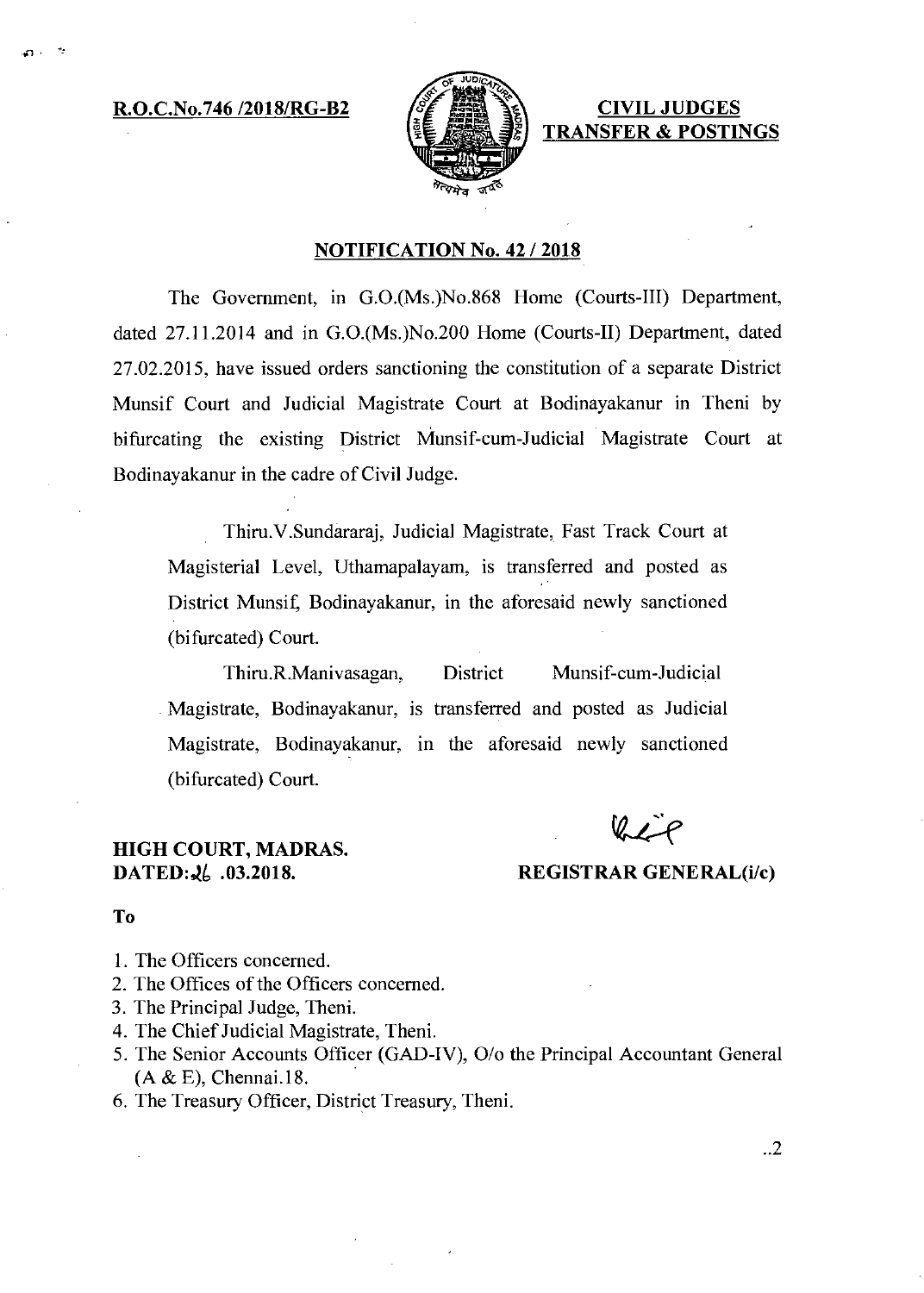**R.O.C.No.746 /2018/RG-B2 CIVIL JUDGES** 

- 70



**TRANSFER & POSTINGS** 

## **NOTIFICATION No. 42 / 2018**

The Government, in G.0.(Ms.)No.868 Home (Courts-III) Department, dated 27.11.2014 and in G.0.(Ms.)No.200 Home (Courts-II) Department, dated 27.02.2015, have issued orders sanctioning the constitution of a separate District Munsif Court and Judicial Magistrate Court at Bodinayakanur in Theni by bifurcating the existing District Munsif-cum-Judicial Magistrate Court at Bodinayakanur in the cadre of Civil Judge.

Thiru.V.Sundararaj, Judicial Magistrate, Fast Track Court at Magisterial Level, Uthamapalayam, is transferred and posted as District Munsif, Bodinayakanur, in the aforesaid newly sanctioned (bifurcated) Court.

Thiru.R.Manivasagan, District Munsif-cum-Judicial Magistrate, Bodinayakanur, is transferred and posted as Judicial Magistrate, Bodinayakanur, in the aforesaid newly sanctioned (bifurcated) Court.

# **HIGH COURT, MADRAS.**

## **DATED:**  $\lambda_0$  .03.2018. REGISTRAR GENERAL(i/c)

#### **To**

- 1. The Officers concerned.
- 2. The Offices of the Officers concerned.
- 3. The Principal Judge, Theni.
- 4. The Chief Judicial Magistrate, Theni.
- 5. The Senior Accounts Officer (GAD-IV), 0/o the Principal Accountant General (A & E), Chennai.18.
- 6. The Treasury Officer, District Treasury, Theni.

..2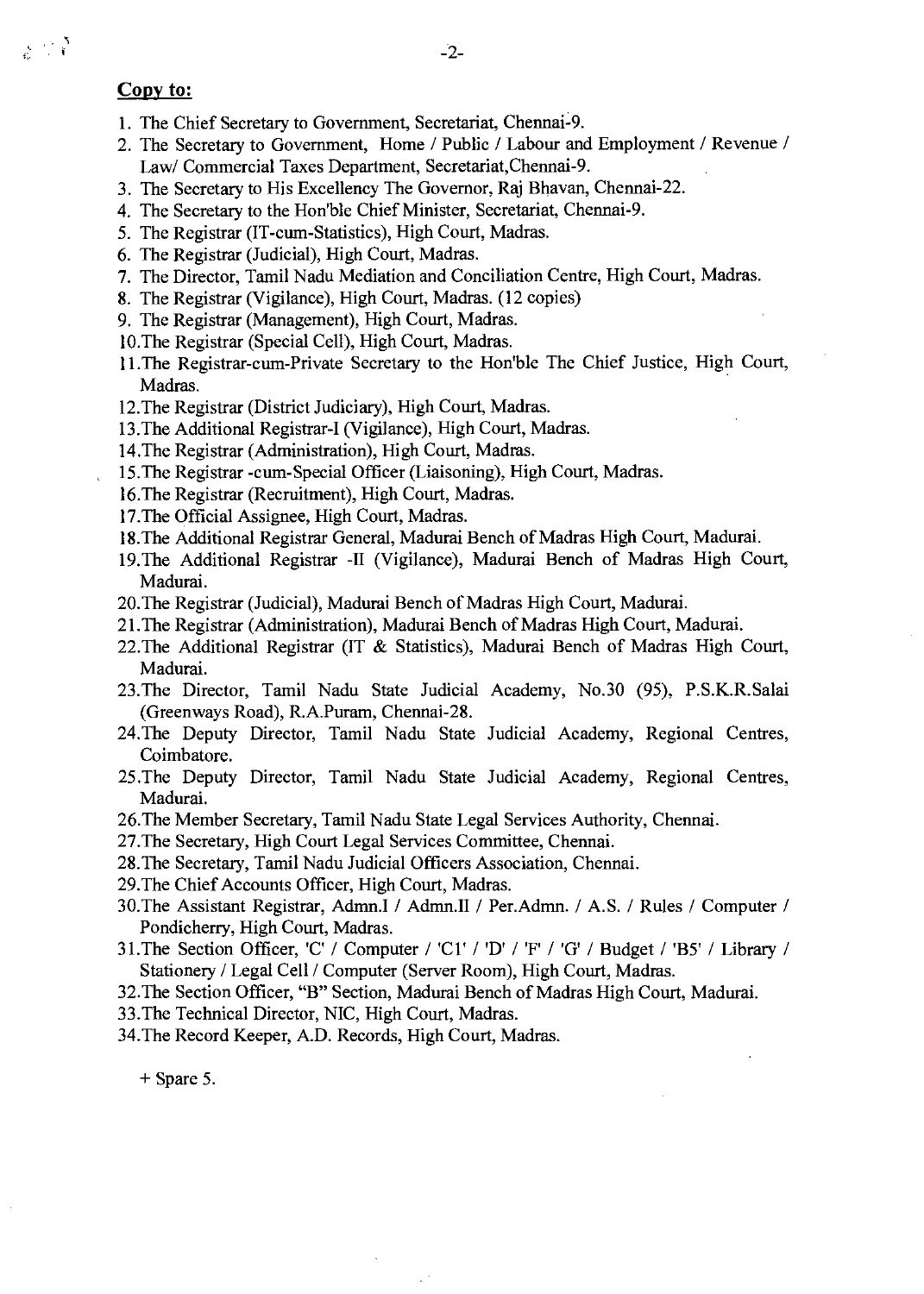# Copy to:

- 1. The Chief Secretary to Government, Secretariat, Chennai-9.
- 2. The Secretary to Government, Home / Public / Labour and Employment / Revenue / Law/ Commercial Taxes Department, Secretariat,Chennai-9.
- 3. The Secretary to His Excellency The Governor, Raj Bhavan, Chennai-22.
- 4. The Secretary to the Hon'ble Chief Minister, Secretariat, Chennai-9.
- 5. The Registrar (IT-cum-Statistics), High Court, Madras.
- 6. The Registrar (Judicial), High Court, Madras.
- 7. The Director, Tamil Nadu Mediation and Conciliation Centre, High Court, Madras.
- 8. The Registrar (Vigilance), High Court, Madras. (12 copies)
- 9. The Registrar (Management), High Court, Madras.
- 10.The Registrar (Special Cell), High Court, Madras.
- 11.The Registrar-cum-Private Secretary to the Hon'ble The Chief Justice, High Court, Madras.
- 12.The Registrar (District Judiciary), High Court, Madras.
- 13.The Additional Registrar-I (Vigilance), High Court, Madras.
- 14.The Registrar (Administration), High Court, Madras.
- 15.The Registrar -cum-Special Officer (Liaisoning), High Court, Madras.
- 16.The Registrar (Recruitment), High Court, Madras.
- 17.The Official Assignee, High Court, Madras.
- 18.The Additional Registrar General, Madurai Bench of Madras High Court, Madurai.
- 19.The Additional Registrar -II (Vigilance), Madurai Bench of Madras High Court, Madurai.
- 20.The Registrar (Judicial), Madurai Bench of Madras High Court, Madurai.
- 21.The Registrar (Administration), Madurai Bench of Madras High Court, Madurai.
- 22.The Additional Registrar (IT & Statistics), Madurai Bench of Madras High Court, Madurai.
- 23.The Director, Tamil Nadu State Judicial Academy, No.30 (95), P.S.K.R.Salai (Greenways Road), R.A.Puram, Chennai-28.
- 24.The Deputy Director, Tamil Nadu State Judicial Academy, Regional Centres, Coimbatore.
- 25 .The Deputy Director, Tamil Nadu State Judicial Academy, Regional Centres, Madurai.
- 26.The Member Secretary, Tamil Nadu State Legal Services Authority, Chennai.
- 27.The Secretary, High Court Legal Services Committee, Chennai.
- 28.The Secretary, Tamil Nadu Judicial Officers Association, Chennai.
- 29.The Chief Accounts Officer, High Court, Madras.
- 30.The Assistant Registrar, Admn.I / Adman / Per.Admn. / A.S. / Rules / Computer / Pondicherry, High Court, Madras.
- 31.The Section Officer, 'C' / Computer / 'Cl' / 'D' / 'F' / 'G' / Budget / 'B5' / Library / Stationery / Legal Cell / Computer (Server Room), High Court, Madras.
- 32.The Section Officer, "B" Section, Madurai Bench of Madras High Court, Madurai.
- 33.The Technical Director, NIC, High Court, Madras.
- 34.The Record Keeper, A.D. Records, High Court, Madras.

+ Spare 5.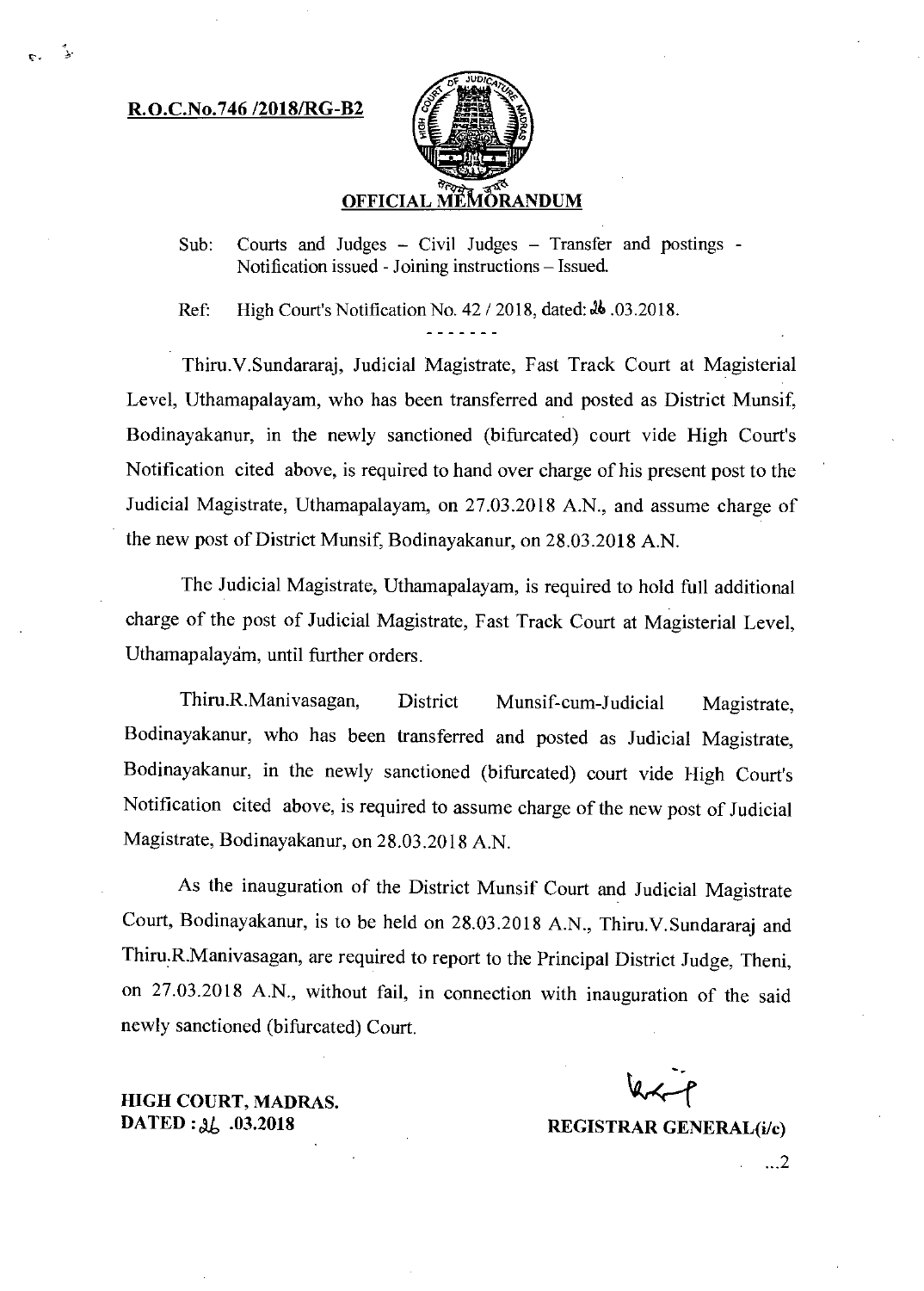#### **1tO.C.No.746 /2018/RG-B2**

J.



Sub: Courts and Judges – Civil Judges – Transfer and postings -Notification issued - Joining instructions — Issued.

Ref: High Court's Notification No. 42 / 2018, dated: 36 .03.2018.

Thiru.V.Sundararaj, Judicial Magistrate, Fast Track Court at Magisterial Level, Uthamapalayam, who has been transferred and posted as District Munsif, Bodinayakanur, in the newly sanctioned (bifurcated) court vide High Court's Notification cited above, is required to hand over charge of his present post to the Judicial Magistrate, Uthamapalayam, on 27.03.2018 A.N., and assume charge of **the** new post of District Munsif, Bodinayakanur, on 28.03.2018 A.N.

The Judicial Magistrate, Uthamapalayam, is required to hold full additional charge of the post of Judicial Magistrate, Fast Track Court at Magisterial Level, Uthamapalayam, until further orders.

Thiru R Manivasagan, District Munsif-cum-Judicial Magistrate, Bodinayakanur, who has been transferred and posted as Judicial Magistrate, Bodinayakanur, in the newly sanctioned (bifurcated) court vide High Court's Notification cited above, is required to assume charge of the new post of Judicial Magistrate, Bodinayakanur, on 28.03.2018 A.N.

As the inauguration of the District Munsif Court and Judicial Magistrate Court, Bodinayakanur, is to be held on 28.03.2018 A.N., Thiru.V.Sundararaj and Thiru R.Manivasagan, are required to report to the Principal District Judge, Theni, on 27.03.2018 A.N., without fail, in connection with inauguration of the said newly sanctioned (bifurcated) Court.

**HIGH COURT, MADRAS. DATED J.** ,

**.03.2018 REGISTRAR GENERAL(i/c)** 

...2